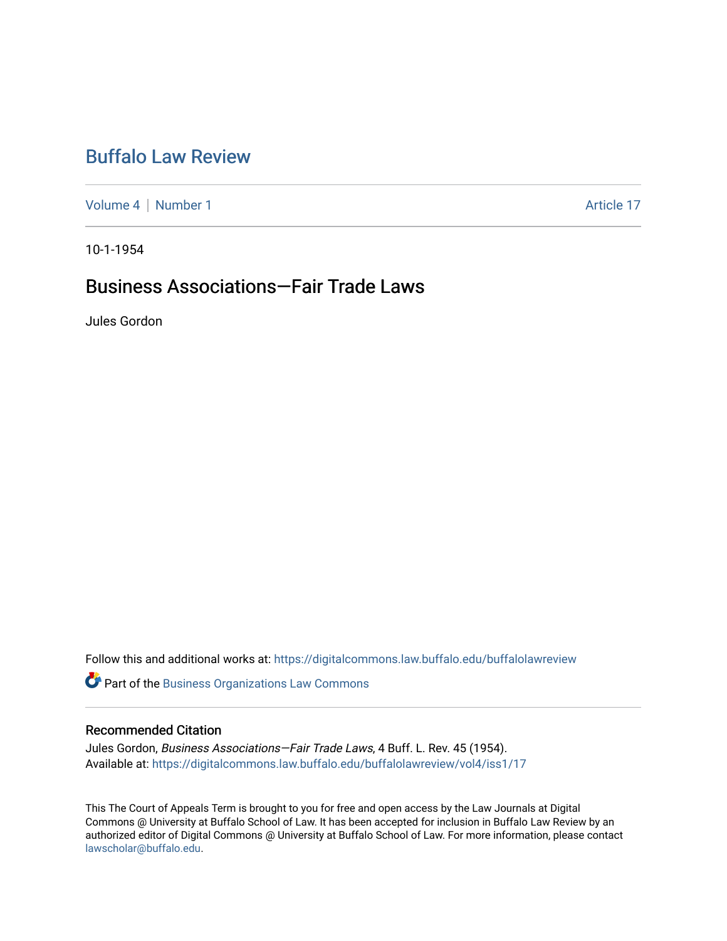# [Buffalo Law Review](https://digitalcommons.law.buffalo.edu/buffalolawreview)

[Volume 4](https://digitalcommons.law.buffalo.edu/buffalolawreview/vol4) | [Number 1](https://digitalcommons.law.buffalo.edu/buffalolawreview/vol4/iss1) Article 17

10-1-1954

# Business Associations—Fair Trade Laws

Jules Gordon

Follow this and additional works at: [https://digitalcommons.law.buffalo.edu/buffalolawreview](https://digitalcommons.law.buffalo.edu/buffalolawreview?utm_source=digitalcommons.law.buffalo.edu%2Fbuffalolawreview%2Fvol4%2Fiss1%2F17&utm_medium=PDF&utm_campaign=PDFCoverPages) 

**Part of the [Business Organizations Law Commons](http://network.bepress.com/hgg/discipline/900?utm_source=digitalcommons.law.buffalo.edu%2Fbuffalolawreview%2Fvol4%2Fiss1%2F17&utm_medium=PDF&utm_campaign=PDFCoverPages)** 

#### Recommended Citation

Jules Gordon, Business Associations—Fair Trade Laws, 4 Buff. L. Rev. 45 (1954). Available at: [https://digitalcommons.law.buffalo.edu/buffalolawreview/vol4/iss1/17](https://digitalcommons.law.buffalo.edu/buffalolawreview/vol4/iss1/17?utm_source=digitalcommons.law.buffalo.edu%2Fbuffalolawreview%2Fvol4%2Fiss1%2F17&utm_medium=PDF&utm_campaign=PDFCoverPages) 

This The Court of Appeals Term is brought to you for free and open access by the Law Journals at Digital Commons @ University at Buffalo School of Law. It has been accepted for inclusion in Buffalo Law Review by an authorized editor of Digital Commons @ University at Buffalo School of Law. For more information, please contact [lawscholar@buffalo.edu](mailto:lawscholar@buffalo.edu).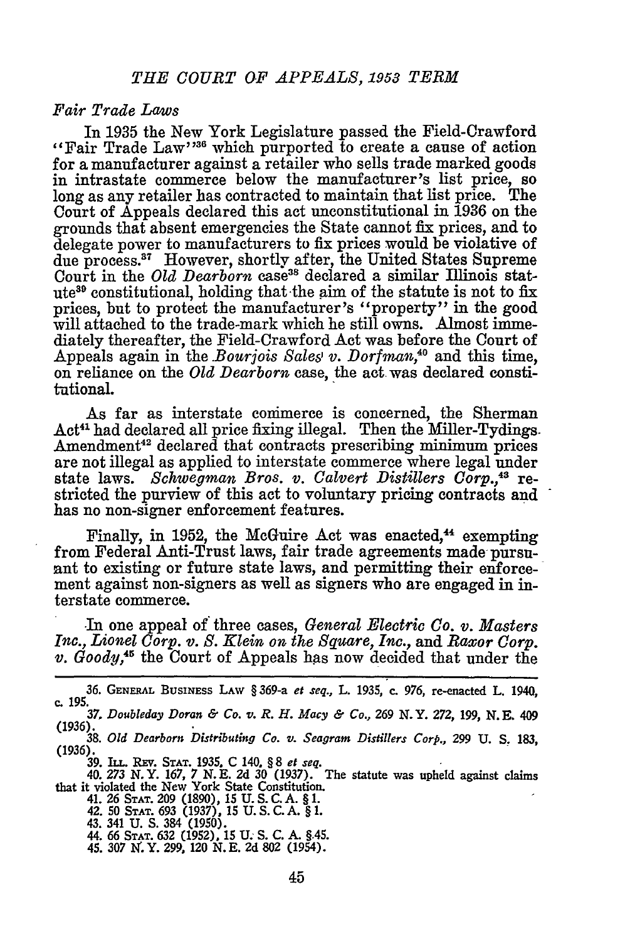### *Fair Trade Laws*

In 1935 the New York Legislature passed the Field-Crawford "Fair Trade Law"<sup>36</sup> which purported to create a cause of action for a manufacturer against a retailer who sells trade marked goods in intrastate commerce below the manufacturer's list price, so long as any retailer has contracted to maintain that list price. The Court of Appeals declared this act unconstitutional in 1936 on the grounds that absent emergencies the State cannot fix prices, and to delegate power to manufacturers to fix prices would be violative of due process.<sup>37</sup> However, shortly after, the United States Supreme Court in the *Old Dearborn* case<sup>38</sup> declared a similar Illinois statute39 constitutional, holding that -the aim of the statute is not to fix prices, but to protect the manufacturer's "property" in the good will attached to the trade-mark which he still owns. Almost immediately thereafter, the Field-Crawford Act was before the Court of Appeals again in the *Bourjois Sales v. Dorfman*,<sup>40</sup> and this time, on reliance on the *Old Dearborn* case, the act. was declared constitutional.

As far as interstate conimerce is concerned, the Sherman Act<sup>41</sup> had declared all price fixing illegal. Then the Miller-Tydings. Amendment<sup>42</sup> declared that contracts prescribing minimum prices are not illegal as applied to interstate commerce where legal under state laws. *Schwegman Bros. v. Calvert Distillers Corp.,43* restricted the purview of this act to voluntary pricing contracts and has no non-signer enforcement features.

Finally, in 1952, the McGuire Act was enacted,<sup>44</sup> exempting from Federal Anti-Trust laws, fair trade agreements made pursuant to existing or future state laws, and permitting their enforcement against non-signers as well as signers who are engaged in interstate commerce.

In one appeal of three cases, *General Electric Co. v. Masters Inc., Lionel Corp. v. S. Klein on the Square, Inc.,* and *Raxor* Corp. *v. Goody,45* the Court of Appeals has now decided that under the

**36. GENERAL** BUSINESS **LAW** §369-a et seq., **L. 1935, c. 976,** re-enacted **L.** 1940, **c. 195.** *37, Doubleday Doran & Co. v. R. H. Macy & Co.,* **269 N.Y. 272, 199, N.E. 409**

**(1936).38.** *Old Dearborn Distributing Co. v. Seagram Distillers Corp.,* **299 U. S. 183,**

**(1936).**

**39. ILL. REV. STAT. 1935, C** 140. § **8** *et seq.* 40. **273 N.Y. 167,** *7* **N.E. 2d 30 (1937).** The **statute** was **upheld** against **claims** that **it** violated **the New** York State Constitution.

41. **26 STAT. 209 (1890), 15 U. S.C. A. § 1.** 42. **50 STAT. 693 (1937). 15 U. S. C.A. § 1.**

43. **341 U. S. 384 (1950).** 44. **66 STAT. 632 (1952), 15 U. S. C. A.** §45.

45. **307 9.** Y. **299, 120 N.E. 2d 802** (1954).